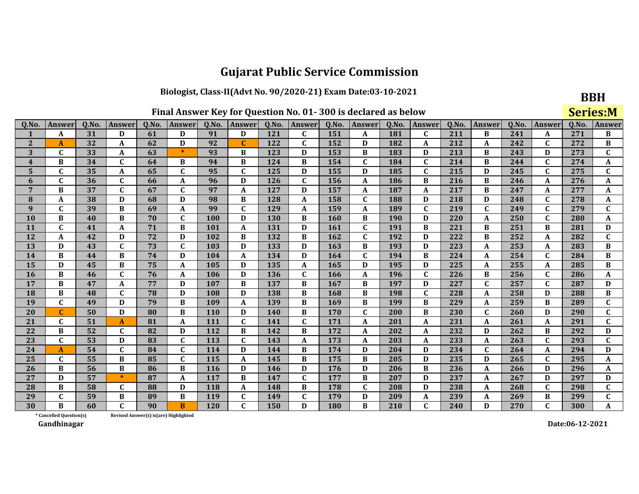#### Biologist, Class-II(Advt No. 90/2020-21) Exam Date:03-10-2021

|  | Final Answer Key for Question No. 01-300 is declared as below |  |  |  |  |  |  |
|--|---------------------------------------------------------------|--|--|--|--|--|--|
|--|---------------------------------------------------------------|--|--|--|--|--|--|

| ۰,<br>۰. |  |
|----------|--|

|                 | Final Answer Key for Question No. 01-300 is declared as below |      |               |       |                  |       |              |       |              |       |              |       |              |       |               | <b>Series:M</b> |              |       |               |
|-----------------|---------------------------------------------------------------|------|---------------|-------|------------------|-------|--------------|-------|--------------|-------|--------------|-------|--------------|-------|---------------|-----------------|--------------|-------|---------------|
| Q.No.           | Answer                                                        | Q.No | <b>Answer</b> | Q.No. | Answer           | Q.No. | Answer       | Q.No. | Answer       | Q.No. | Answer       | Q.No. | Answer       | Q.No. | <b>Answer</b> | Q.No.           | Answer       | Q.No. | <b>Answer</b> |
|                 | A                                                             | 31   | D             | 61    | D                | 91    | D            | 121   | C            | 151   | A            | 181   | C            | 211   | B             | 241             | A            | 271   | B             |
| $\overline{2}$  | A                                                             | 32   | A             | 62    | D                | 92    | $\mathbf C$  | 122   | $\mathbf{C}$ | 152   | D            | 182   | A            | 212   | A             | 242             | $\mathbf C$  | 272   | B             |
| 3               | $\mathbf C$                                                   | 33   | A             | 63    | $\ast$           | 93    | B            | 123   | D            | 153   | В            | 183   | D            | 213   | B             | 243             | D            | 273   | $\mathbf C$   |
| 4               | B                                                             | 34   | $\mathbf{C}$  | 64    | $\bf{B}$         | 94    | B            | 124   | B            | 154   | $\mathbf{C}$ | 184   | $\mathbf{C}$ | 214   | B             | 244             | $\mathbf C$  | 274   | A             |
| 5               | C                                                             | 35   | A             | 65    | $\mathbf C$      | 95    | C            | 125   | D            | 155   | D            | 185   | $\mathbf C$  | 215   | D             | 245             | $\mathbf{C}$ | 275   | $\mathbf C$   |
| 6               | $\mathbf C$                                                   | 36   | C             | 66    | A                | 96    | D            | 126   | C            | 156   | A            | 186   | B            | 216   | B             | 246             | A            | 276   | A             |
| $7\phantom{.0}$ | B                                                             | 37   | $\mathbf{C}$  | 67    | $\mathbf C$      | 97    | A            | 127   | D            | 157   | A            | 187   | A            | 217   | B             | 247             | A            | 277   | A             |
| 8               | A                                                             | 38   | D             | 68    | D                | 98    | B            | 128   | A            | 158   | $\mathbf{C}$ | 188   | D            | 218   | D             | 248             | $\mathbf C$  | 278   | A             |
| 9               | $\mathbf C$                                                   | 39   | B             | 69    | A                | 99    | $\mathbf C$  | 129   | A            | 159   | A            | 189   | $\mathbf C$  | 219   | $\mathbf C$   | 249             | $\mathbf C$  | 279   | $\mathbf C$   |
| 10              | B                                                             | 40   | B             | 70    | $\mathbf C$      | 100   | D            | 130   | B            | 160   | B            | 190   | D            | 220   | A             | 250             | $\mathbf{C}$ | 280   | A             |
| 11              | $\mathbf{C}$                                                  | 41   | A             | 71    | B                | 101   | A            | 131   | D            | 161   | $\mathbf{C}$ | 191   | B            | 221   | B             | 251             | B            | 281   | D             |
| 12              | A                                                             | 42   | D             | 72    | D                | 102   | B            | 132   | B            | 162   | C            | 192   | D            | 222   | B             | 252             | A            | 282   | $\mathbf{C}$  |
| 13              | D                                                             | 43   | $\mathbf C$   | 73    | $\mathbf C$      | 103   | D            | 133   | D            | 163   | В            | 193   | D            | 223   | A             | 253             | A            | 283   | B             |
| 14              | B                                                             | 44   | B             | 74    | D                | 104   | A            | 134   | D            | 164   | $\mathbf{C}$ | 194   | B            | 224   | A             | 254             | $\mathbf C$  | 284   | B             |
| 15              | D                                                             | 45   | B             | 75    | $\boldsymbol{A}$ | 105   | D            | 135   | A            | 165   | D            | 195   | D            | 225   | A             | 255             | A            | 285   | B             |
| 16              | B                                                             | 46   | C             | 76    | A                | 106   | D            | 136   | C            | 166   | A            | 196   | $\mathbf{C}$ | 226   | B             | 256             | $\mathbf{C}$ | 286   | A             |
| 17              | B                                                             | 47   | A             | 77    | D                | 107   | B            | 137   | B            | 167   | В            | 197   | D            | 227   | $\mathbf{C}$  | 257             | $\mathbf C$  | 287   | D             |
| 18              | B                                                             | 48   | $\mathbf{C}$  | 78    | D                | 108   | D            | 138   | B            | 168   | В            | 198   | $\mathbf{C}$ | 228   | A             | 258             | D            | 288   | B             |
| 19              | $\mathbf C$                                                   | 49   | D             | 79    | $\bf{B}$         | 109   | A            | 139   | B            | 169   | B            | 199   | B            | 229   | A             | 259             | B            | 289   | $\mathbf C$   |
| 20              | $\mathbf{C}$                                                  | 50   | D             | 80    | $\bf{B}$         | 110   | D            | 140   | B            | 170   | $\mathbf{C}$ | 200   | B            | 230   | $\mathbf C$   | 260             | D            | 290   | $\mathbf C$   |
| 21              | $\mathbf{C}$                                                  | 51   | A             | 81    | A                | 111   | $\mathbf{C}$ | 141   | $\mathbf{C}$ | 171   | A            | 201   | A            | 231   | A             | 261             | A            | 291   | $\mathbf{C}$  |
| 22              | B                                                             | 52   | $\mathbf C$   | 82    | D                | 112   | B            | 142   | B            | 172   | A            | 202   | A            | 232   | D             | 262             | B            | 292   | D             |
| 23              | $\mathbf C$                                                   | 53   | D             | 83    | $\mathbf C$      | 113   | $\mathbf C$  | 143   | A            | 173   | A            | 203   | A            | 233   | A             | 263             | $\mathbf{C}$ | 293   | $\mathbf C$   |
| 24              | A                                                             | 54   | $\mathbf{C}$  | 84    | $\mathbf C$      | 114   | D            | 144   | B            | 174   | D            | 204   | D            | 234   | $\mathbf C$   | 264             | A            | 294   | D             |
| 25              | C                                                             | 55   | B             | 85    | $\mathbf C$      | 115   | A            | 145   | B            | 175   | B            | 205   | D            | 235   | D             | 265             | $\mathbf C$  | 295   | A             |
| 26              | B                                                             | 56   | B             | 86    | $\bf{B}$         | 116   | D            | 146   | D            | 176   | D            | 206   | B            | 236   | A             | 266             | D            | 296   | A             |
| 27              | D                                                             | 57   | $\ast$        | 87    | $\mathbf{A}$     | 117   | B            | 147   | $\mathbf{C}$ | 177   | B            | 207   | D            | 237   | A             | 267             | D            | 297   | D             |
| 28              | В                                                             | 58   | $\mathbf{C}$  | 88    | D                | 118   | A            | 148   | B            | 178   | $\mathbf{C}$ | 208   | D            | 238   | A             | 268             | $\mathbf{C}$ | 298   | $\mathbf C$   |
| 29              | $\mathbf C$                                                   | 59   | B             | 89    | $\bf{B}$         | 119   | $\mathbf C$  | 149   | C            | 179   | D            | 209   | A            | 239   | A             | 269             | B            | 299   | $\mathbf{C}$  |
| 30              | R                                                             | 60   | $\mathbf{C}$  | 90    | B                | 120   | C            | 150   | D            | 180   | B            | 210   | $\mathbf{C}$ | 240   | D             | 270             | $\mathbf{C}$ | 300   | A             |

Revised Answer(s) is(are) Highlighted

\* Cancelled Question(s) Gandhinagar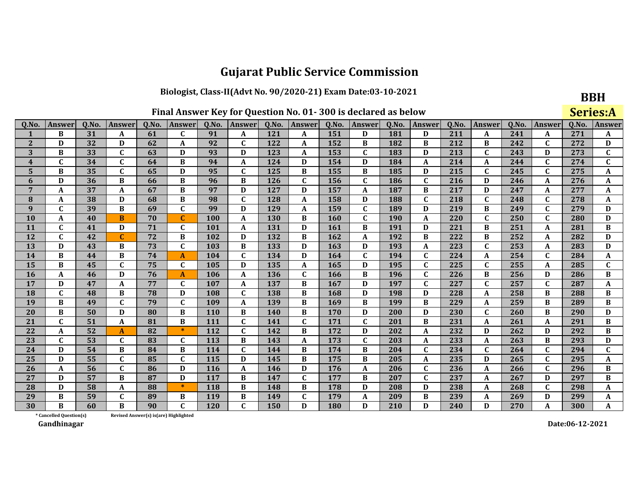#### Biologist, Class-II(Advt No. 90/2020-21) Exam Date:03-10-2021

|  | Final Answer Key for Question No. 01-300 is declared as below |  |  |  |  |  |  |
|--|---------------------------------------------------------------|--|--|--|--|--|--|
|--|---------------------------------------------------------------|--|--|--|--|--|--|

|                         | Final Answer Key for Question No. 01-300 is declared as below |      |               |                                        |               |       |              |       |              |       |               |       |               |       | <b>Series:A</b> |       |               |       |               |
|-------------------------|---------------------------------------------------------------|------|---------------|----------------------------------------|---------------|-------|--------------|-------|--------------|-------|---------------|-------|---------------|-------|-----------------|-------|---------------|-------|---------------|
| Q.No                    | <b>Answer</b>                                                 | Q.No | <b>Answer</b> | Q.No.                                  | <b>Answer</b> | Q.No. | Answer       | Q.No. | Answer       | Q.No. | <b>Answer</b> | Q.No. | <b>Answer</b> | Q.No. | Answer          | Q.No. | <b>Answer</b> | Q.No. | <b>Answei</b> |
|                         | B                                                             | 31   | A             | 61                                     | C             | 91    | A            | 121   | A            | 151   | D             | 181   | D             | 211   | A               | 241   | A             | 271   | A             |
| $\overline{2}$          | D                                                             | 32   | D             | 62                                     | $\mathbf A$   | 92    | $\mathbf C$  | 122   | A            | 152   | B             | 182   | B             | 212   | B               | 242   | $\mathbf{C}$  | 272   | D             |
| 3                       | B                                                             | 33   | $\mathbf C$   | 63                                     | D             | 93    | D            | 123   | A            | 153   | $\mathbf{C}$  | 183   | D             | 213   | $\mathbf{C}$    | 243   | D             | 273   | $\mathbf{C}$  |
| $\overline{\mathbf{4}}$ | $\mathbf C$                                                   | 34   | $\mathbf C$   | 64                                     | B             | 94    | A            | 124   | D            | 154   | D             | 184   | A             | 214   | $\mathbf A$     | 244   | C             | 274   | $\mathbf C$   |
| 5                       | B                                                             | 35   | $\mathbf{C}$  | 65                                     | D             | 95    | $\mathbf{C}$ | 125   | B            | 155   | B             | 185   | D             | 215   | $\mathbf C$     | 245   | $\mathbf C$   | 275   | A             |
| 6                       | D                                                             | 36   | B             | 66                                     | B             | 96    | B            | 126   | $\mathbf C$  | 156   | $\mathbf C$   | 186   | $\mathbf C$   | 216   | D               | 246   | A             | 276   | A             |
| 7                       | A                                                             | 37   | A             | 67                                     | B             | 97    | D            | 127   | D            | 157   | A             | 187   | B             | 217   | D               | 247   | A             | 277   | A             |
| 8                       | A                                                             | 38   | D             | 68                                     | B             | 98    | $\mathbf C$  | 128   | A            | 158   | D             | 188   | $\mathbf C$   | 218   | $\mathbf C$     | 248   | C             | 278   | A             |
| $\boldsymbol{q}$        | $\mathbf{C}$                                                  | 39   | B             | 69                                     | $\mathbf C$   | 99    | D            | 129   | A            | 159   | $\mathbf{C}$  | 189   | D             | 219   | $\bf{B}$        | 249   | $\mathbf C$   | 279   | D             |
| 10                      | A                                                             | 40   | B             | 70                                     | $\mathbf C$   | 100   | A            | 130   | B            | 160   | $\mathbf C$   | 190   | A             | 220   | $\mathbf C$     | 250   | $\mathbf C$   | 280   | D             |
| 11                      | $\mathbf C$                                                   | 41   | D             | 71                                     | $\mathbf{C}$  | 101   | A            | 131   | D            | 161   | B             | 191   | D             | 221   | B               | 251   | A             | 281   | $\bf{B}$      |
| 12                      | $\mathbf{C}$                                                  | 42   | $\mathbf{C}$  | 72                                     | $\bf{B}$      | 102   | D            | 132   | B            | 162   | A             | 192   | B             | 222   | B               | 252   | A             | 282   | D             |
| 13                      | D                                                             | 43   | B             | 73                                     | $\mathbf C$   | 103   | B            | 133   | D            | 163   | D             | 193   | A             | 223   | $\mathbf C$     | 253   | A             | 283   | D             |
| 14                      | B                                                             | 44   | B             | 74                                     | A             | 104   | $\mathbf C$  | 134   | D            | 164   | $\mathbf{C}$  | 194   | $\mathbf{C}$  | 224   | $\mathbf{A}$    | 254   | $\mathbf{C}$  | 284   | A             |
| 15                      | B                                                             | 45   | $\mathbf C$   | 75                                     | $\mathbf C$   | 105   | D            | 135   | A            | 165   | D             | 195   | $\mathbf C$   | 225   | $\mathbf C$     | 255   | A             | 285   | $\mathbf C$   |
| 16                      | A                                                             | 46   | D             | 76                                     | A             | 106   | A            | 136   | $\mathbf C$  | 166   | B             | 196   | $\mathbf{C}$  | 226   | B               | 256   | D             | 286   | B             |
| 17                      | D                                                             | 47   | A             | 77                                     | $\mathbf C$   | 107   | A            | 137   | B            | 167   | D             | 197   | $\mathbf C$   | 227   | $\mathbf C$     | 257   | $\mathbf C$   | 287   | A             |
| 18                      | $\mathbf{C}$                                                  | 48   | B             | 78                                     | D             | 108   | $\mathbf C$  | 138   | B            | 168   | D             | 198   | D             | 228   | $\mathbf A$     | 258   | B             | 288   | B             |
| 19                      | B                                                             | 49   | $\mathbf C$   | 79                                     | $\mathbf C$   | 109   | A            | 139   | B            | 169   | B             | 199   | B             | 229   | A               | 259   | B             | 289   | B             |
| 20                      | B                                                             | 50   | D             | 80                                     | $\bf{B}$      | 110   | B            | 140   | B            | 170   | D             | 200   | D             | 230   | $\mathbf{C}$    | 260   | B             | 290   | D             |
| 21                      | $\mathbf C$                                                   | 51   | A             | 81                                     | B             | 111   | $\mathbf{C}$ | 141   | $\mathbf{C}$ | 171   | $\mathbf C$   | 201   | B             | 231   | $\mathbf{A}$    | 261   | A             | 291   | $\bf{B}$      |
| 22                      | A                                                             | 52   | A             | 82                                     | $\ast$        | 112   | $\mathbf C$  | 142   | B            | 172   | D             | 202   | A             | 232   | D               | 262   | D             | 292   | B             |
| 23                      | $\mathbf C$                                                   | 53   | $\mathbf C$   | 83                                     | $\mathbf C$   | 113   | $\, {\bf B}$ | 143   | A            | 173   | $\mathbf C$   | 203   | A             | 233   | $\mathbf A$     | 263   | B             | 293   | D             |
| 24                      | D                                                             | 54   | B             | 84                                     | B             | 114   | $\mathbf C$  | 144   | B            | 174   | B             | 204   | $\mathbf C$   | 234   | $\mathbf C$     | 264   | C             | 294   | $\mathbf{C}$  |
| 25                      | D                                                             | 55   | $\mathbf C$   | 85                                     | $\mathbf C$   | 115   | D            | 145   | B            | 175   | B             | 205   | A             | 235   | D               | 265   | $\mathbf C$   | 295   | A             |
| 26                      | A                                                             | 56   | $\mathbf C$   | 86                                     | D             | 116   | A            | 146   | D            | 176   | A             | 206   | $\mathbf C$   | 236   | A               | 266   | $\mathbf C$   | 296   | B             |
| 27                      | D                                                             | 57   | B             | 87                                     | D             | 117   | B            | 147   | $\mathbf C$  | 177   | B             | 207   | $\mathbf C$   | 237   | A               | 267   | D             | 297   | B             |
| 28                      | D                                                             | 58   | A             | 88                                     | $\ast$        | 118   | B            | 148   | B            | 178   | D             | 208   | D             | 238   | A               | 268   | C             | 298   | A             |
| 29                      | B                                                             | 59   | $\mathbf C$   | 89                                     | B             | 119   | B            | 149   | $\mathbf{C}$ | 179   | A             | 209   | B             | 239   | $\mathbf A$     | 269   | D             | 299   | A             |
| 30                      | B                                                             | 60   | B             | 90                                     | $\mathbf C$   | 120   | $\mathbf{C}$ | 150   | D            | 180   | D             | 210   | D             | 240   | D               | 270   | A             | 300   | A             |
|                         | * Cancelled Question(s)                                       |      |               | Revised Answer(s) is (are) Highlighted |               |       |              |       |              |       |               |       |               |       |                 |       |               |       |               |

Revised Answer(s) is(are) Highlighted

Gandhinagar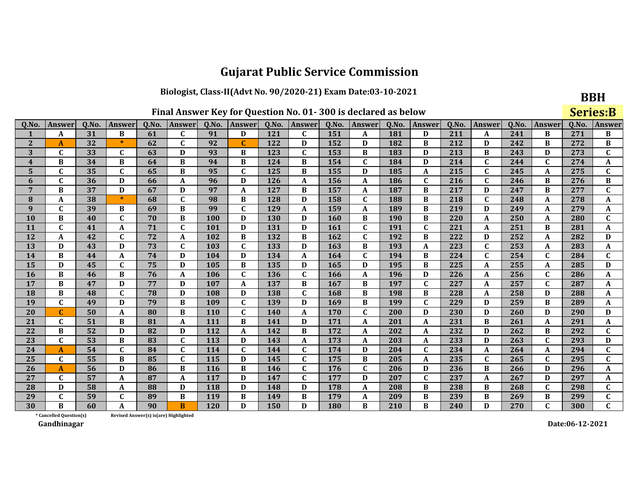Biologist, Class-II(Advt No. 90/2020-21) Exam Date:03-10-2021

| Final Answer Key for Question No. 01-300 is declared as below |  |  |  |  |  |  |  |  |  |
|---------------------------------------------------------------|--|--|--|--|--|--|--|--|--|
|---------------------------------------------------------------|--|--|--|--|--|--|--|--|--|

|--|

|                         | Final Answer Key for Question No. 01-300 is declared as below |       |               |       |                                       |            |             |       |              |       |              |       |              |       |              | <b>Series:B</b> |              |       |                  |
|-------------------------|---------------------------------------------------------------|-------|---------------|-------|---------------------------------------|------------|-------------|-------|--------------|-------|--------------|-------|--------------|-------|--------------|-----------------|--------------|-------|------------------|
| Q.No.                   | Answer                                                        | Q.No. | <b>Answer</b> | Q.No. | Answer                                | Q.No.      | Answer      | Q.No. | Answer       | Q.No. | Answer       | Q.No. | Answer       | Q.No. | Answer       | Q.No.           | Answer       | Q.No. | <b>Answe</b>     |
| $\mathbf{1}$            | A                                                             | 31    | В             | 61    | C                                     | 91         | D           | 121   | C            | 151   | A            | 181   | D            | 211   | A            | 241             | B            | 271   | B                |
| $\overline{2}$          | A                                                             | 32    | $\ast$        | 62    | $\mathbf C$                           | 92         | $\mathbf C$ | 122   | D            | 152   | D            | 182   | B            | 212   | D            | 242             | B            | 272   | B                |
| 3                       | C                                                             | 33    | $\mathbf{C}$  | 63    | D                                     | 93         | B           | 123   | C            | 153   | B            | 183   | D            | 213   | $\bf{B}$     | 243             | D            | 273   | $\mathbf C$      |
| $\overline{\mathbf{4}}$ | B                                                             | 34    | B             | 64    | B                                     | 94         | B           | 124   | B            | 154   | $\mathbf{C}$ | 184   | D            | 214   | $\mathbf C$  | 244             | $\mathbf{C}$ | 274   | $\boldsymbol{A}$ |
| 5                       | C                                                             | 35    | $\mathbf{C}$  | 65    | B                                     | 95         | $\mathbf C$ | 125   | B            | 155   | D            | 185   | A            | 215   | $\mathbf C$  | 245             | A            | 275   | $\mathbf{C}$     |
| 6                       | C                                                             | 36    | D             | 66    | $\boldsymbol{A}$                      | 96         | D           | 126   | A            | 156   | A            | 186   | $\mathbf{C}$ | 216   | $\mathbf C$  | 246             | B            | 276   | $\, {\bf B}$     |
| 7                       | B                                                             | 37    | D             | 67    | D                                     | 97         | A           | 127   | В            | 157   | A            | 187   | B            | 217   | D            | 247             | B            | 277   | $\mathbf C$      |
| 8                       | A                                                             | 38    | $\ast$        | 68    | $\mathbf C$                           | 98         | B           | 128   | D            | 158   | $\mathbf{C}$ | 188   | B            | 218   | $\mathbf{C}$ | 248             | A            | 278   | A                |
| 9                       | C                                                             | 39    | B             | 69    | B                                     | 99         | $\mathbf C$ | 129   | $\mathbf{A}$ | 159   | A            | 189   | B            | 219   | D            | 249             | A            | 279   | A                |
| <b>10</b>               | B                                                             | 40    | $\mathbf C$   | 70    | B                                     | 100        | D           | 130   | D            | 160   | B            | 190   | B            | 220   | A            | 250             | A            | 280   | $\mathbf C$      |
| <b>11</b>               | C                                                             | 41    | A             | 71    | $\mathbf C$                           | 101        | D           | 131   | D            | 161   | C            | 191   | $\mathbf c$  | 221   | A            | 251             | B            | 281   | A                |
| 12                      | A                                                             | 42    | $\mathbf{C}$  | 72    | A                                     | 102        | B           | 132   | B            | 162   | $\mathbf{C}$ | 192   | B            | 222   | D            | 252             | A            | 282   | D                |
| 13                      | D                                                             | 43    | D             | 73    | $\mathbf{C}$                          | 103        | $\mathbf C$ | 133   | D            | 163   | B            | 193   | $\mathbf{A}$ | 223   | $\mathbf C$  | 253             | A            | 283   | A                |
| 14                      | B                                                             | 44    | A             | 74    | D                                     | 104        | D           | 134   | A            | 164   | $\mathbf{C}$ | 194   | B            | 224   | $\mathbf C$  | 254             | $\mathbf{C}$ | 284   | $\mathbf{C}$     |
| 15                      | D                                                             | 45    | $\mathbf C$   | 75    | D                                     | 105        | B           | 135   | D            | 165   | D            | 195   | B            | 225   | $\mathbf{A}$ | 255             | A            | 285   | D                |
| <b>16</b>               | B                                                             | 46    | B             | 76    | A                                     | 106        | $\mathbf C$ | 136   | $\mathbf C$  | 166   | A            | 196   | D            | 226   | A            | 256             | $\mathbf{C}$ | 286   | A                |
| 17                      | B                                                             | 47    | D             | 77    | D                                     | 107        | A           | 137   | B            | 167   | B            | 197   | $\mathbf{C}$ | 227   | $\mathbf A$  | 257             | $\mathbf{C}$ | 287   | A                |
| <b>18</b>               | B                                                             | 48    | $\mathbf{C}$  | 78    | D                                     | 108        | D           | 138   | $\mathbf C$  | 168   | B            | 198   | B            | 228   | $\mathbf A$  | 258             | D            | 288   | A                |
| 19                      | $\mathbf C$                                                   | 49    | D             | 79    | $\, {\bf B}$                          | 109        | $\mathbf C$ | 139   | D            | 169   | B            | 199   | $\mathbf{C}$ | 229   | D            | 259             | B            | 289   | A                |
| 20                      | C                                                             | 50    | A             | 80    | B                                     | 110        | $\mathbf C$ | 140   | A            | 170   | $\mathbf{C}$ | 200   | D            | 230   | D            | 260             | D            | 290   | D                |
| 21                      | C                                                             | 51    | B             | 81    | $\boldsymbol{A}$                      | 111        | $\bf{B}$    | 141   | D            | 171   | A            | 201   | A            | 231   | B            | 261             | A            | 291   | A                |
| 22                      | B                                                             | 52    | D             | 82    | D                                     | 112        | A           | 142   | B            | 172   | A            | 202   | A            | 232   | D            | 262             | B            | 292   | $\mathbf C$      |
| 23                      | C                                                             | 53    | B             | 83    | $\mathbf C$                           | 113        | D           | 143   | $\mathbf A$  | 173   | A            | 203   | $\mathbf{A}$ | 233   | D            | 263             | $\mathbf{C}$ | 293   | D                |
| 24                      | A                                                             | 54    | $\mathbf{C}$  | 84    | $\mathbf C$                           | 114        | C           | 144   | $\mathbf C$  | 174   | D            | 204   | $\mathbf{C}$ | 234   | A            | 264             | A            | 294   | $\mathbf C$      |
| 25                      | C                                                             | 55    | B             | 85    | $\mathbf{C}$                          | 115        | D           | 145   | $\mathbf C$  | 175   | B            | 205   | A            | 235   | $\mathbf C$  | 265             | $\mathbf C$  | 295   | $\mathbf C$      |
| 26                      | A                                                             | 56    | D             | 86    | B                                     | <b>116</b> | B           | 146   | $\mathbf C$  | 176   | $\mathbf{C}$ | 206   | D            | 236   | B            | 266             | D            | 296   | A                |
| 27                      | $\mathbf C$                                                   | 57    | A             | 87    | $\boldsymbol{\mathsf{A}}$             | 117        | D           | 147   | $\mathbf C$  | 177   | D            | 207   | $\mathbf{C}$ | 237   | $\mathbf{A}$ | 267             | D            | 297   | A                |
| 28                      | D                                                             | 58    | A             | 88    | D                                     | 118        | D           | 148   | D            | 178   | A            | 208   | B            | 238   | B            | 268             | $\mathbf{C}$ | 298   | $\mathbf{C}$     |
| 29                      | $\mathbf C$                                                   | 59    | $\mathbf{C}$  | 89    | B                                     | 119        | B           | 149   | B            | 179   | A            | 209   | B            | 239   | B            | 269             | B            | 299   | $\mathbf{C}$     |
| 30                      | B                                                             | 60    | A             | 90    | B                                     | <b>120</b> | D           | 150   | D            | 180   | B            | 210   | B            | 240   | D            | 270             | $\mathbf{C}$ | 300   | $\mathbf{C}$     |
|                         | * Cancelled Question(s)                                       |       |               |       | Revised Answer(s) is(are) Highlighted |            |             |       |              |       |              |       |              |       |              |                 |              |       |                  |

Revised Answer(s) is(are) Highlighted

Gandhinagar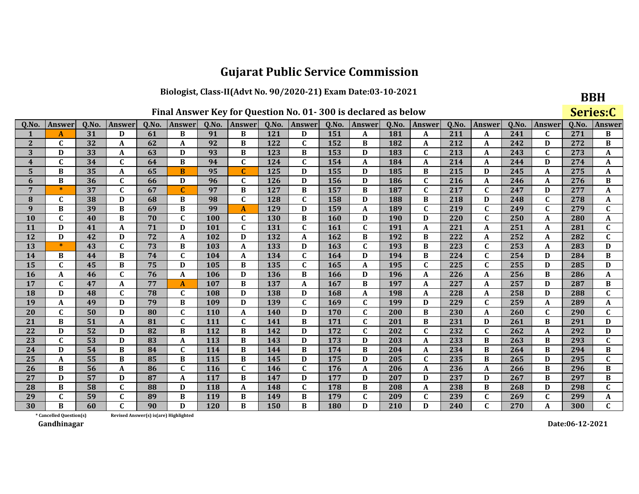#### Biologist, Class-II(Advt No. 90/2020-21) Exam Date:03-10-2021

|  | Final Answer Key for Question No. 01-300 is declared as below |  |  |  |  |  |  |
|--|---------------------------------------------------------------|--|--|--|--|--|--|
|--|---------------------------------------------------------------|--|--|--|--|--|--|

| ۰,<br>۰. |
|----------|
|----------|

|                | Final Answer Key for Question No. 01-300 is declared as below |      |               |                                       |               |       |              |       |              |       |              |       |               |       | Series:C     |       |               |       |               |
|----------------|---------------------------------------------------------------|------|---------------|---------------------------------------|---------------|-------|--------------|-------|--------------|-------|--------------|-------|---------------|-------|--------------|-------|---------------|-------|---------------|
| Q.No.          | <b>Answer</b>                                                 | Q.No | <b>Answer</b> | Q.No.                                 | <b>Answer</b> | Q.No. | Answer       | Q.No. | Answer       | Q.No. | Answer       | Q.No. | <b>Answer</b> | Q.No. | Answer       | Q.No. | <b>Answer</b> | Q.No. | <b>Answei</b> |
|                | A                                                             | 31   | D             | 61                                    | B             | 91    | B            | 121   | D            | 151   | A            | 181   | A             | 211   | A            | 241   | C             | 271   | B             |
| $\overline{2}$ | C                                                             | 32   | A             | 62                                    | $\mathbf A$   | 92    | B            | 122   | $\mathbf C$  | 152   | B            | 182   | A             | 212   | A            | 242   | D             | 272   | B             |
| 3              | D                                                             | 33   | A             | 63                                    | D             | 93    | B            | 123   | B            | 153   | D            | 183   | $\mathbf{C}$  | 213   | A            | 243   | $\mathbf{C}$  | 273   | A             |
| 4              | C                                                             | 34   | $\mathbf{C}$  | 64                                    | B             | 94    | $\mathbf C$  | 124   | C            | 154   | A            | 184   | A             | 214   | A            | 244   | D             | 274   | A             |
| 5              | B                                                             | 35   | A             | 65                                    | B             | 95    | $\mathbf{C}$ | 125   | D            | 155   | D            | 185   | B             | 215   | D            | 245   | A             | 275   | A             |
| 6              | B                                                             | 36   | $\mathbf C$   | 66                                    | D             | 96    | $\mathbf C$  | 126   | D            | 156   | D            | 186   | $\mathbf{C}$  | 216   | A            | 246   | A             | 276   | $\bf{B}$      |
| 7              | $\ast$                                                        | 37   | $\mathbf{C}$  | 67                                    | C             | 97    | B            | 127   | B            | 157   | B            | 187   | $\mathbf{C}$  | 217   | $\mathbf{C}$ | 247   | D             | 277   | A             |
| 8              | $\mathbf{C}$                                                  | 38   | D             | 68                                    | B             | 98    | $\mathbf{C}$ | 128   | C            | 158   | D            | 188   | B             | 218   | D            | 248   | C             | 278   | A             |
| 9              | B                                                             | 39   | B             | 69                                    | B             | 99    | A            | 129   | D            | 159   | A            | 189   | $\mathbf{C}$  | 219   | $\mathbf C$  | 249   | $\mathbf{C}$  | 279   | $\mathbf{C}$  |
| 10             | $\mathbf C$                                                   | 40   | B             | 70                                    | $\mathbf C$   | 100   | $\mathbf C$  | 130   | B            | 160   | D            | 190   | D             | 220   | $\mathbf C$  | 250   | A             | 280   | A             |
| 11             | D                                                             | 41   | A             | 71                                    | D             | 101   | $\mathbf{C}$ | 131   | C            | 161   | $\mathbf{C}$ | 191   | A             | 221   | A            | 251   | A             | 281   | $\mathbf C$   |
| 12             | D                                                             | 42   | D             | 72                                    | $\mathbf{A}$  | 102   | D            | 132   | $\mathbf{A}$ | 162   | B            | 192   | B             | 222   | $\mathbf{A}$ | 252   | A             | 282   | $\mathbf{C}$  |
| 13             | $\ast$                                                        | 43   | $\mathbf{C}$  | 73                                    | B             | 103   | A            | 133   | D            | 163   | $\mathbf C$  | 193   | B             | 223   | $\mathbf C$  | 253   | A             | 283   | D             |
| 14             | B                                                             | 44   | B             | 74                                    | $\mathbf C$   | 104   | A            | 134   | $\mathbf C$  | 164   | D            | 194   | B             | 224   | $\mathbf{C}$ | 254   | D             | 284   | $\bf{B}$      |
| 15             | $\mathbf{C}$                                                  | 45   | B             | 75                                    | D             | 105   | B            | 135   | $\mathbf C$  | 165   | A            | 195   | $\mathbf{C}$  | 225   | $\mathbf{C}$ | 255   | D             | 285   | D             |
| <b>16</b>      | A                                                             | 46   | $\mathbf{C}$  | 76                                    | $\mathbf{A}$  | 106   | D            | 136   | B            | 166   | D            | 196   | A             | 226   | A            | 256   | B             | 286   | A             |
| 17             | $\mathbf{C}$                                                  | 47   | A             | 77                                    | $\mathbf{A}$  | 107   | B            | 137   | $\mathbf A$  | 167   | B            | 197   | A             | 227   | A            | 257   | D             | 287   | B             |
| 18             | D                                                             | 48   | $\mathbf{C}$  | 78                                    | $\mathbf C$   | 108   | D            | 138   | D            | 168   | A            | 198   | A             | 228   | A            | 258   | D             | 288   | $\mathbf C$   |
| 19             | A                                                             | 49   | D             | 79                                    | B             | 109   | D            | 139   | $\mathbf C$  | 169   | $\mathbf C$  | 199   | D             | 229   | $\mathbf C$  | 259   | A             | 289   | A             |
| 20             | $\mathbf C$                                                   | 50   | D             | 80                                    | $\mathbf C$   | 110   | A            | 140   | D            | 170   | $\mathbf{C}$ | 200   | B             | 230   | A            | 260   | $\mathbf{C}$  | 290   | $\mathbf c$   |
| 21             | B                                                             | 51   | A             | 81                                    | $\mathbf C$   | 111   | C            | 141   | B            | 171   | $\mathbf C$  | 201   | B             | 231   | D            | 261   | B             | 291   | D             |
| 22             | D                                                             | 52   | D             | 82                                    | $\bf{B}$      | 112   | B            | 142   | D            | 172   | $\mathbf C$  | 202   | $\mathbf{C}$  | 232   | $\mathbf{C}$ | 262   | A             | 292   | D             |
| 23             | $\mathbf C$                                                   | 53   | D             | 83                                    | $\mathbf A$   | 113   | B            | 143   | D            | 173   | D            | 203   | A             | 233   | $\, {\bf B}$ | 263   | B             | 293   | $\mathbf C$   |
| 24             | D                                                             | 54   | B             | 84                                    | $\mathbf C$   | 114   | B            | 144   | B            | 174   | B            | 204   | A             | 234   | B            | 264   | B             | 294   | B             |
| 25             | A                                                             | 55   | B             | 85                                    | B             | 115   | B            | 145   | D            | 175   | D            | 205   | $\mathbf{C}$  | 235   | B            | 265   | D             | 295   | $\mathbf{C}$  |
| 26             | B                                                             | 56   | A             | 86                                    | $\mathbf C$   | 116   | $\mathbf{C}$ | 146   | C            | 176   | A            | 206   | A             | 236   | A            | 266   | B             | 296   | B             |
| 27             | D                                                             | 57   | D             | 87                                    | $\mathbf A$   | 117   | B            | 147   | D            | 177   | D            | 207   | D             | 237   | D            | 267   | B             | 297   | B             |
| 28             | B                                                             | 58   | $\mathbf C$   | 88                                    | D             | 118   | A            | 148   | $\mathbf{C}$ | 178   | B            | 208   | A             | 238   | B            | 268   | D             | 298   | $\mathbf C$   |
| 29             | $\mathbf{C}$                                                  | 59   | $\mathbf C$   | 89                                    | B             | 119   | B            | 149   | B            | 179   | $\mathbf C$  | 209   | $\mathbf{C}$  | 239   | $\mathbf C$  | 269   | $\mathbf{C}$  | 299   | A             |
| 30             | B                                                             | 60   | $\mathbf{C}$  | 90                                    | D             | 120   | B            | 150   | B            | 180   | D            | 210   | D             | 240   | $\mathbf C$  | 270   | A             | 300   | $\mathbf{C}$  |
|                | * Cancelled Question(s)                                       |      |               | Revised Answer(s) is(are) Highlighted |               |       |              |       |              |       |              |       |               |       |              |       |               |       |               |

Revised Answer(s) is(are) Highlighted

Gandhinagar